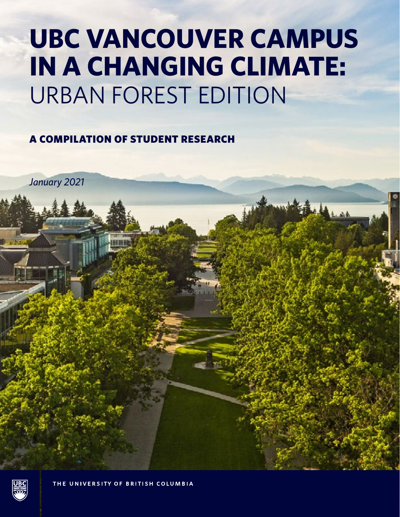# **UBC VANCOUVER CAMPUS IN A CHANGING CLIMATE:** URBAN FOREST EDITION

## A COMPILATION OF STUDENT RESEARCH

*January 2021*

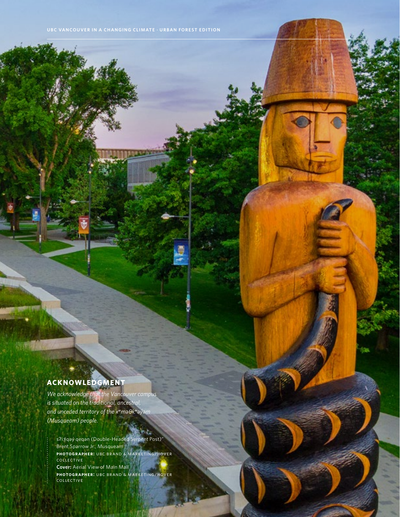### **ACKNOWLEDGMENT**

 $\sim$ 

*We acknowledge that the Vancouver campus is situated on the traditional, ancestral, and unceded territory of the xwmə0*–*-kwəýəm (Musqueam) people.* 

s?i: qəy qeqən (Double-Headed Serpent Post)" Brent Sparrow Jr., Musqueam **photographer:** ubc brand & marketing/hover collective **Cover:** Aerial View of Main Mall **photographer:** ubc brand & marketing/hover collective

bila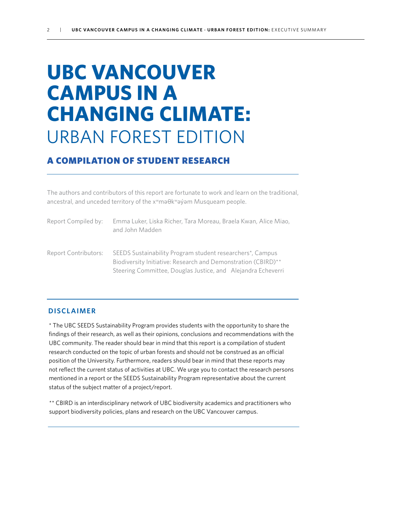## **UBC VANCOUVER CAMPUS IN A CHANGING CLIMATE:** URBAN FOREST EDITION

### A COMPILATION OF STUDENT RESEARCH

The authors and contributors of this report are fortunate to work and learn on the traditional, ancestral, and unceded territory of the x<sup>w</sup>ma0kwayam Musqueam people.

| Report Compiled by:  | Emma Luker, Liska Richer, Tara Moreau, Braela Kwan, Alice Miao,<br>and John Madden                                                                                                                      |
|----------------------|---------------------------------------------------------------------------------------------------------------------------------------------------------------------------------------------------------|
| Report Contributors: | SEEDS Sustainability Program student researchers <sup>*</sup> , Campus<br>Biodiversity Initiative: Research and Demonstration (CBIRD)**<br>Steering Committee, Douglas Justice, and Alejandra Echeverri |

#### **DISCLAIMER**

\* The UBC SEEDS Sustainability Program provides students with the opportunity to share the findings of their research, as well as their opinions, conclusions and recommendations with the UBC community. The reader should bear in mind that this report is a compilation of student research conducted on the topic of urban forests and should not be construed as an official position of the University. Furthermore, readers should bear in mind that these reports may not reflect the current status of activities at UBC. We urge you to contact the research persons mentioned in a report or the SEEDS Sustainability Program representative about the current status of the subject matter of a project/report.

\*\* CBIRD is an interdisciplinary network of UBC biodiversity academics and practitioners who support biodiversity policies, plans and research on the UBC Vancouver campus.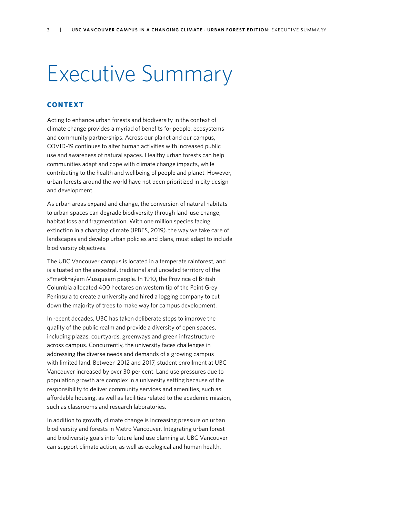## Executive Summary

#### **CONTEXT**

Acting to enhance urban forests and biodiversity in the context of climate change provides a myriad of benefits for people, ecosystems and community partnerships. Across our planet and our campus, COVID-19 continues to alter human activities with increased public use and awareness of natural spaces. Healthy urban forests can help communities adapt and cope with climate change impacts, while contributing to the health and wellbeing of people and planet. However, urban forests around the world have not been prioritized in city design and development.

As urban areas expand and change, the conversion of natural habitats to urban spaces can degrade biodiversity through land-use change, habitat loss and fragmentation. With one million species facing extinction in a changing climate (IPBES, 2019), the way we take care of landscapes and develop urban policies and plans, must adapt to include biodiversity objectives.

The UBC Vancouver campus is located in a temperate rainforest, and is situated on the ancestral, traditional and unceded territory of the x<sup>w</sup>mə $\theta$ kwəy əm Musqueam people. In 1910, the Province of British Columbia allocated 400 hectares on western tip of the Point Grey Peninsula to create a university and hired a logging company to cut down the majority of trees to make way for campus development.

In recent decades, UBC has taken deliberate steps to improve the quality of the public realm and provide a diversity of open spaces, including plazas, courtyards, greenways and green infrastructure across campus. Concurrently, the university faces challenges in addressing the diverse needs and demands of a growing campus with limited land. Between 2012 and 2017, student enrollment at UBC Vancouver increased by over 30 per cent. Land use pressures due to population growth are complex in a university setting because of the responsibility to deliver community services and amenities, such as affordable housing, as well as facilities related to the academic mission, such as classrooms and research laboratories.

In addition to growth, climate change is increasing pressure on urban biodiversity and forests in Metro Vancouver. Integrating urban forest and biodiversity goals into future land use planning at UBC Vancouver can support climate action, as well as ecological and human health.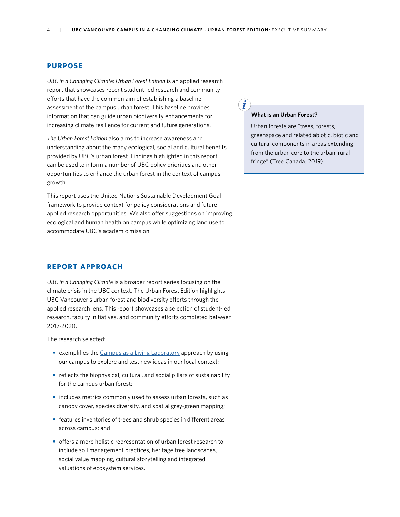#### **PURPOSE**

*UBC in a Changing Climate: Urban Forest Edition* is an applied research report that showcases recent student-led research and community efforts that have the common aim of establishing a baseline assessment of the campus urban forest. This baseline provides information that can guide urban biodiversity enhancements for increasing climate resilience for current and future generations.

*The Urban Forest Edition* also aims to increase awareness and understanding about the many ecological, social and cultural benefits provided by UBC's urban forest. Findings highlighted in this report can be used to inform a number of UBC policy priorities and other opportunities to enhance the urban forest in the context of campus growth.

This report uses the United Nations Sustainable Development Goal framework to provide context for policy considerations and future applied research opportunities. We also offer suggestions on improving ecological and human health on campus while optimizing land use to accommodate UBC's academic mission.

#### **REPORT APPROACH**

*UBC in a Changing Climate* is a broader report series focusing on the climate crisis in the UBC context. The Urban Forest Edition highlights UBC Vancouver's urban forest and biodiversity efforts through the applied research lens. This report showcases a selection of student-led research, faculty initiatives, and community efforts completed between 2017-2020.

The research selected:

- exemplifies the [Campus as a Living Laboratory](https://sustain.ubc.ca/campus-living-laboratory) approach by using our campus to explore and test new ideas in our local context;
- reflects the biophysical, cultural, and social pillars of sustainability for the campus urban forest;
- **•**  includes metrics commonly used to assess urban forests, such as canopy cover, species diversity, and spatial grey-green mapping;
- **•** features inventories of trees and shrub species in different areas across campus; and
- **•**  offers a more holistic representation of urban forest research to include soil management practices, heritage tree landscapes, social value mapping, cultural storytelling and integrated valuations of ecosystem services.

#### **What is an Urban Forest?**

Urban forests are "trees, forests, greenspace and related abiotic, biotic and cultural components in areas extending from the urban core to the urban-rural fringe" (Tree Canada, 2019).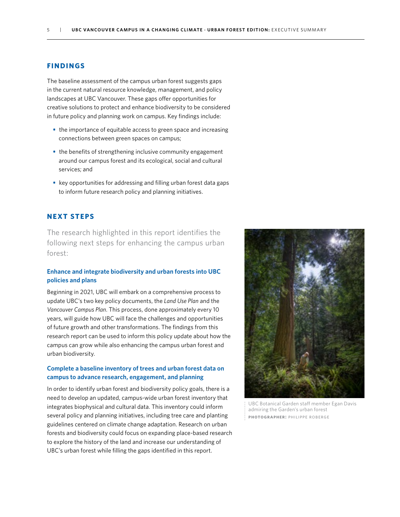#### **FINDINGS**

The baseline assessment of the campus urban forest suggests gaps in the current natural resource knowledge, management, and policy landscapes at UBC Vancouver. These gaps offer opportunities for creative solutions to protect and enhance biodiversity to be considered in future policy and planning work on campus. Key findings include:

- the importance of equitable access to green space and increasing connections between green spaces on campus;
- **•** the benefits of strengthening inclusive community engagement around our campus forest and its ecological, social and cultural services; and
- **•**  key opportunities for addressing and filling urban forest data gaps to inform future research policy and planning initiatives.

#### **NEXT STEPS**

The research highlighted in this report identifies the following next steps for enhancing the campus urban forest:

#### **Enhance and integrate biodiversity and urban forests into UBC policies and plans**

Beginning in 2021, UBC will embark on a comprehensive process to update UBC's two key policy documents, the *Land Use Plan* and the *Vancouver Campus Plan*. This process, done approximately every 10 years, will guide how UBC will face the challenges and opportunities of future growth and other transformations. The findings from this research report can be used to inform this policy update about how the campus can grow while also enhancing the campus urban forest and urban biodiversity.

#### **Complete a baseline inventory of trees and urban forest data on campus to advance research, engagement, and planning**

In order to identify urban forest and biodiversity policy goals, there is a need to develop an updated, campus-wide urban forest inventory that integrates biophysical and cultural data. This inventory could inform several policy and planning initiatives, including tree care and planting guidelines centered on climate change adaptation. Research on urban forests and biodiversity could focus on expanding place-based research to explore the history of the land and increase our understanding of UBC's urban forest while filling the gaps identified in this report.



UBC Botanical Garden staff member Egan Davis admiring the Garden's urban forest **photographer:** philippe roberge